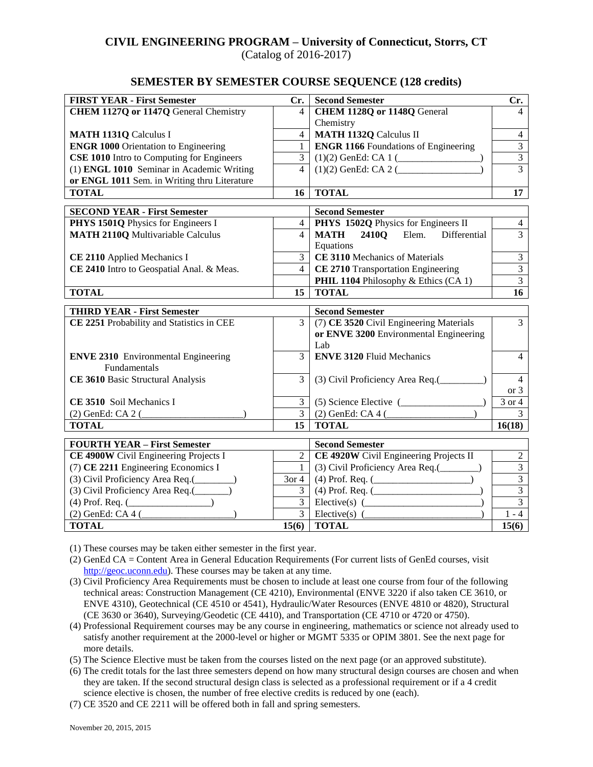# **CIVIL ENGINEERING PROGRAM – University of Connecticut, Storrs, CT**

(Catalog of 2016-2017)

#### **SEMESTER BY SEMESTER COURSE SEQUENCE (128 credits)**

| <b>FIRST YEAR - First Semester</b>               | Cr.             | <b>Second Semester</b>                              | Cr.              |  |
|--------------------------------------------------|-----------------|-----------------------------------------------------|------------------|--|
| <b>CHEM 1127Q or 1147Q General Chemistry</b>     | 4               | CHEM 1128Q or 1148Q General                         | 4                |  |
|                                                  |                 | Chemistry                                           |                  |  |
| <b>MATH 1131Q Calculus I</b>                     | $\overline{4}$  | <b>MATH 1132Q Calculus II</b>                       | $\overline{4}$   |  |
| <b>ENGR 1000 Orientation to Engineering</b>      | $\mathbf{1}$    | <b>ENGR 1166</b> Foundations of Engineering         | $\overline{3}$   |  |
| <b>CSE 1010</b> Intro to Computing for Engineers | $\overline{3}$  |                                                     | $\overline{3}$   |  |
| (1) ENGL 1010 Seminar in Academic Writing        | $\overline{4}$  | $(1)(2)$ GenEd: CA 2 (                              | $\overline{3}$   |  |
| or ENGL 1011 Sem. in Writing thru Literature     |                 |                                                     |                  |  |
| <b>TOTAL</b>                                     | 16 <sup>1</sup> | <b>TOTAL</b>                                        | 17 <sup>17</sup> |  |
| <b>SECOND YEAR - First Semester</b>              |                 | <b>Second Semester</b>                              |                  |  |
| PHYS 1501Q Physics for Engineers I               | $\overline{4}$  | PHYS 1502Q Physics for Engineers II                 | $\overline{4}$   |  |
| <b>MATH 2110Q Multivariable Calculus</b>         | $\overline{4}$  | MATH 2410Q Elem. Differential                       | $\overline{3}$   |  |
|                                                  |                 | Equations                                           |                  |  |
| CE 2110 Applied Mechanics I                      | $\overline{3}$  | CE 3110 Mechanics of Materials                      | $\mathfrak{Z}$   |  |
| CE 2410 Intro to Geospatial Anal. & Meas.        | $\overline{4}$  | CE 2710 Transportation Engineering                  | $\overline{3}$   |  |
|                                                  |                 | PHIL 1104 Philosophy & Ethics (CA 1)                | $\overline{3}$   |  |
| <b>TOTAL</b>                                     | 15              | <b>TOTAL</b>                                        | 16               |  |
|                                                  |                 |                                                     |                  |  |
| <b>THIRD YEAR - First Semester</b>               |                 | <b>Second Semester</b>                              | $\overline{3}$   |  |
| CE 2251 Probability and Statistics in CEE        | $\overline{3}$  | (7) CE 3520 Civil Engineering Materials             |                  |  |
|                                                  |                 | or ENVE 3200 Environmental Engineering<br>Lab       |                  |  |
| <b>ENVE 2310</b> Environmental Engineering       | $\overline{3}$  | <b>ENVE 3120 Fluid Mechanics</b>                    | 4                |  |
| Fundamentals                                     |                 |                                                     |                  |  |
| CE 3610 Basic Structural Analysis                | $\overline{3}$  |                                                     | 4                |  |
|                                                  |                 |                                                     | or $3$           |  |
| CE 3510 Soil Mechanics I                         | $\overline{3}$  | $(5)$ Science Elective $($                          | $3$ or $4$       |  |
| (2) GenEd: CA 2 (                                | $\overline{3}$  | $(2)$ GenEd: CA 4 (                                 | $\overline{3}$   |  |
| <b>TOTAL</b>                                     | 15              | <b>TOTAL</b>                                        | 16(18)           |  |
| <b>FOURTH YEAR - First Semester</b>              |                 | <b>Second Semester</b>                              |                  |  |
| CE 4900W Civil Engineering Projects I            | $\overline{2}$  | CE 4920W Civil Engineering Projects II              | $\overline{c}$   |  |
| (7) CE 2211 Engineering Economics I              | $\mathbf{1}$    | (3) Civil Proficiency Area Req.(________)           | $\overline{3}$   |  |
| (3) Civil Proficiency Area Req.(________)        | $3$ or 4        | $(4)$ Prof. Req. ( $\qquad \qquad$                  | $\overline{3}$   |  |
| (3) Civil Proficiency Area Req.(______)          | 3               | $(4)$ Prof. Req. ( $\qquad$                         | $\overline{3}$   |  |
| $(4)$ Prof. Req. $($                             |                 | $Elective(s)$ $($                                   | $\overline{3}$   |  |
| $(2)$ GenEd: CA 4 $($                            |                 | $\overline{3}$ Elective(s) $\overline{\phantom{2}}$ | $1 - 4$          |  |
| <b>TOTAL</b>                                     |                 | $15(6)$ TOTAL                                       | 15(6)            |  |

(1) These courses may be taken either semester in the first year.

- (2) GenEd CA = Content Area in General Education Requirements (For current lists of GenEd courses, visit [http://geoc.uconn.edu\)](http://geoc.uconn.edu/). These courses may be taken at any time.
- (3) Civil Proficiency Area Requirements must be chosen to include at least one course from four of the following technical areas: Construction Management (CE 4210), Environmental (ENVE 3220 if also taken CE 3610, or ENVE 4310), Geotechnical (CE 4510 or 4541), Hydraulic/Water Resources (ENVE 4810 or 4820), Structural (CE 3630 or 3640), Surveying/Geodetic (CE 4410), and Transportation (CE 4710 or 4720 or 4750).
- (4) Professional Requirement courses may be any course in engineering, mathematics or science not already used to satisfy another requirement at the 2000-level or higher or MGMT 5335 or OPIM 3801. See the next page for more details.
- (5) The Science Elective must be taken from the courses listed on the next page (or an approved substitute).
- (6) The credit totals for the last three semesters depend on how many structural design courses are chosen and when they are taken. If the second structural design class is selected as a professional requirement or if a 4 credit science elective is chosen, the number of free elective credits is reduced by one (each).
- (7) CE 3520 and CE 2211 will be offered both in fall and spring semesters.